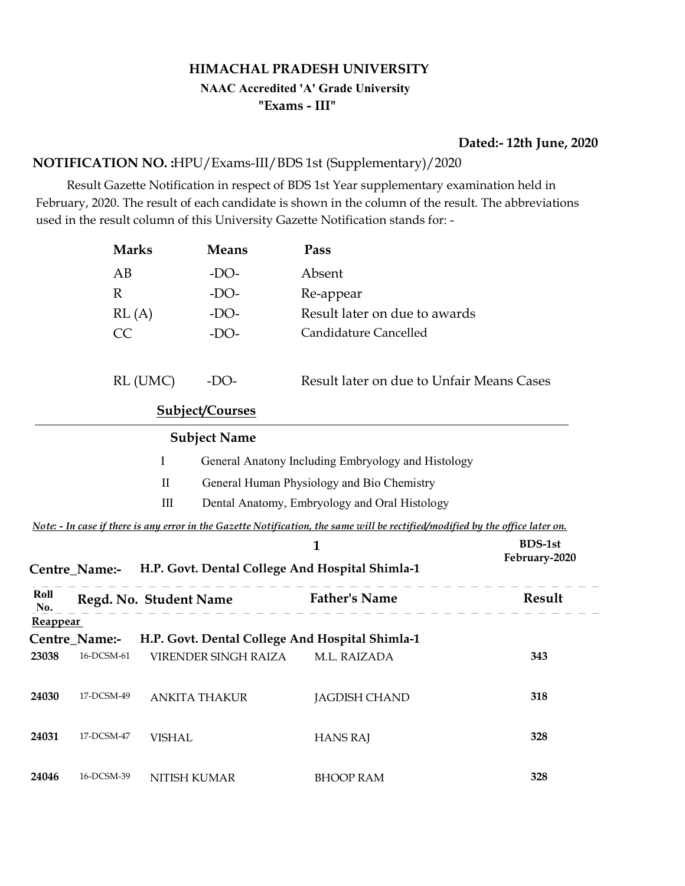# HIMACHAL PRADESH UNIVERSITY "Exams - III" NAAC Accredited 'A' Grade University

#### Dated:- 12th June, 2020

#### NOTIFICATION NO. :HPU/Exams-III/BDS 1st (Supplementary)/2020

 Result Gazette Notification in respect of BDS 1st Year supplementary examination held in February, 2020. The result of each candidate is shown in the column of the result. The abbreviations used in the result column of this University Gazette Notification stands for: -

|                 | <b>Marks</b>           |               | <b>Means</b>                                    | Pass                                                                                                                           |                                 |  |
|-----------------|------------------------|---------------|-------------------------------------------------|--------------------------------------------------------------------------------------------------------------------------------|---------------------------------|--|
|                 | AB                     |               | $-DO-$                                          | Absent                                                                                                                         |                                 |  |
|                 | $\mathbb{R}$           |               | $-DO-$                                          | Re-appear                                                                                                                      |                                 |  |
|                 | RL(A)                  |               | $-DO-$                                          | Result later on due to awards                                                                                                  |                                 |  |
|                 | CC                     |               | $-DO-$                                          | Candidature Cancelled                                                                                                          |                                 |  |
|                 |                        | RL (UMC)      | $-DO-$                                          | Result later on due to Unfair Means Cases                                                                                      |                                 |  |
|                 |                        |               | Subject/Courses                                 |                                                                                                                                |                                 |  |
|                 |                        |               | <b>Subject Name</b>                             |                                                                                                                                |                                 |  |
|                 |                        | $\bf{I}$      |                                                 | General Anatony Including Embryology and Histology                                                                             |                                 |  |
|                 |                        | $\mathbf{I}$  |                                                 | General Human Physiology and Bio Chemistry                                                                                     |                                 |  |
|                 |                        | $\rm III$     |                                                 | Dental Anatomy, Embryology and Oral Histology                                                                                  |                                 |  |
|                 |                        |               |                                                 | Note: - In case if there is any error in the Gazette Notification, the same will be rectified/modified by the office later on. |                                 |  |
|                 |                        |               |                                                 | $\mathbf{1}$                                                                                                                   | <b>BDS-1st</b><br>February-2020 |  |
|                 |                        |               |                                                 | Centre_Name:- H.P. Govt. Dental College And Hospital Shimla-1                                                                  |                                 |  |
| Roll<br>No.     | Regd. No. Student Name |               |                                                 | <b>Father's Name</b>                                                                                                           | Result                          |  |
| <b>Reappear</b> |                        |               |                                                 |                                                                                                                                |                                 |  |
| Centre_Name:-   |                        |               |                                                 |                                                                                                                                |                                 |  |
|                 |                        |               | H.P. Govt. Dental College And Hospital Shimla-1 |                                                                                                                                |                                 |  |
| 23038           | 16-DCSM-61             |               | VIRENDER SINGH RAIZA                            | M.L. RAIZADA                                                                                                                   | 343                             |  |
| 24030           | 17-DCSM-49             |               | <b>ANKITA THAKUR</b>                            | <b>JAGDISH CHAND</b>                                                                                                           | 318                             |  |
| 24031           | 17-DCSM-47             | <b>VISHAL</b> |                                                 | <b>HANS RAJ</b>                                                                                                                | 328                             |  |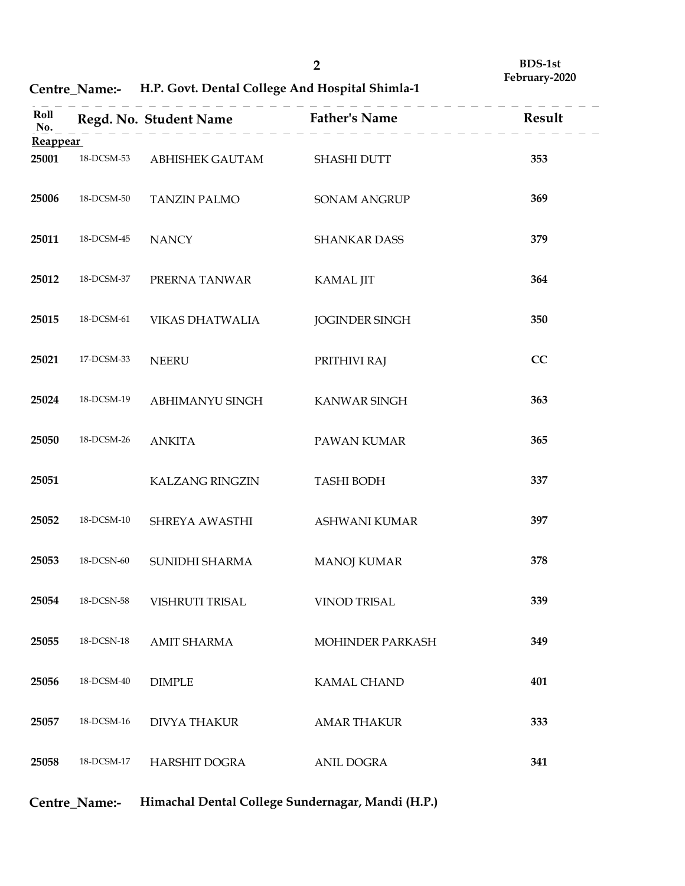|  | Centre_Name:- H.P. Govt. Dental College And Hospital Shimla-1 |  |
|--|---------------------------------------------------------------|--|
|--|---------------------------------------------------------------|--|

|                          | Centre_Name:- | H.P. Govt. Dental College And Hospital Shimla-1 | $\overline{2}$                                    | <b>BDS-1st</b><br>February-2020 |
|--------------------------|---------------|-------------------------------------------------|---------------------------------------------------|---------------------------------|
| Roll<br>No.              |               | Regd. No. Student Name                          | <b>Father's Name</b>                              | Result                          |
| <b>Reappear</b><br>25001 | 18-DCSM-53    | ABHISHEK GAUTAM                                 | SHASHI DUTT                                       | 353                             |
| 25006                    | 18-DCSM-50    | <b>TANZIN PALMO</b>                             | SONAM ANGRUP                                      | 369                             |
| 25011                    | 18-DCSM-45    | <b>NANCY</b>                                    | SHANKAR DASS                                      | 379                             |
| 25012                    | 18-DCSM-37    | PRERNA TANWAR                                   | <b>KAMAL JIT</b>                                  | 364                             |
| 25015                    | 18-DCSM-61    | VIKAS DHATWALIA                                 | <b>JOGINDER SINGH</b>                             | 350                             |
| 25021                    | 17-DCSM-33    | <b>NEERU</b>                                    | PRITHIVI RAJ                                      | CC                              |
| 25024                    | 18-DCSM-19    | ABHIMANYU SINGH                                 | KANWAR SINGH                                      | 363                             |
| 25050                    | 18-DCSM-26    | <b>ANKITA</b>                                   | PAWAN KUMAR                                       | 365                             |
| 25051                    |               | <b>KALZANG RINGZIN</b>                          | <b>TASHI BODH</b>                                 | 337                             |
| 25052                    | 18-DCSM-10    | SHREYA AWASTHI                                  | ASHWANI KUMAR                                     | 397                             |
| 25053                    | 18-DCSN-60    | SUNIDHI SHARMA                                  | <b>MANOJ KUMAR</b>                                | 378                             |
| 25054                    | 18-DCSN-58    | VISHRUTI TRISAL                                 | VINOD TRISAL                                      | 339                             |
| 25055                    | 18-DCSN-18    | <b>AMIT SHARMA</b>                              | MOHINDER PARKASH                                  | 349                             |
| 25056                    | 18-DCSM-40    | <b>DIMPLE</b>                                   | KAMAL CHAND                                       | 401                             |
| 25057                    | 18-DCSM-16    | <b>DIVYA THAKUR</b>                             | <b>AMAR THAKUR</b>                                | 333                             |
| 25058                    | 18-DCSM-17    | HARSHIT DOGRA                                   | ANIL DOGRA                                        | 341                             |
|                          | Centre_Name:- |                                                 | Himachal Dental College Sundernagar, Mandi (H.P.) |                                 |

Centre\_Name:- Himachal Dental College Sundernagar, Mandi (H.P.)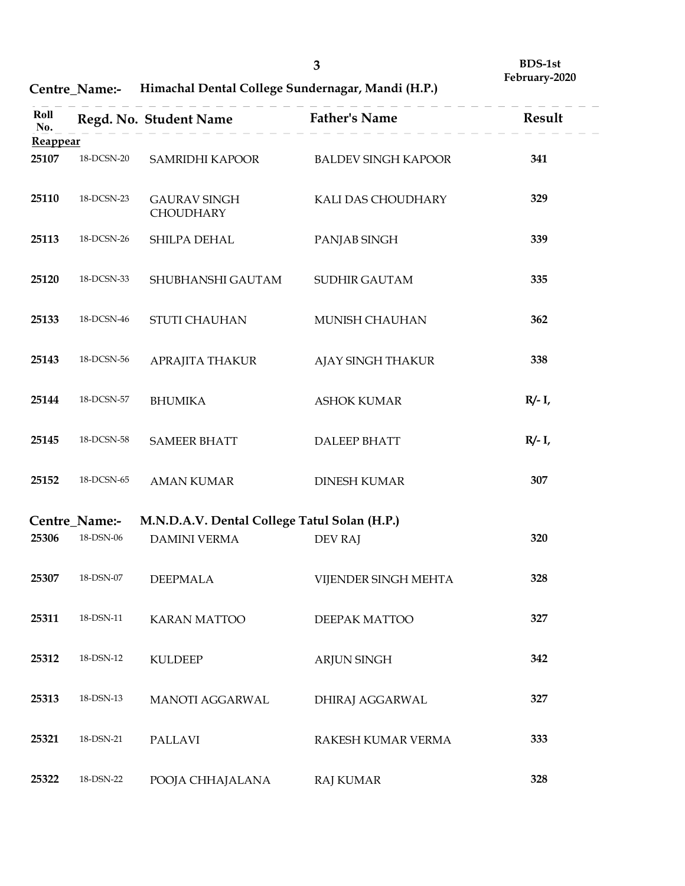| <b>Centre_Name:-</b> | Himachal Dental College Sundernagar, Mandi (H.P.) |  |
|----------------------|---------------------------------------------------|--|
|----------------------|---------------------------------------------------|--|

|                 |                    |                                                                             | $\mathbf{3}$               | <b>BDS-1st</b><br>February-2020 |
|-----------------|--------------------|-----------------------------------------------------------------------------|----------------------------|---------------------------------|
| Roll            | Centre_Name:-      | Himachal Dental College Sundernagar, Mandi (H.P.)<br>Regd. No. Student Name | <b>Father's Name</b>       | Result                          |
| No.<br>Reappear |                    |                                                                             |                            |                                 |
| 25107           | 18-DCSN-20         | SAMRIDHI KAPOOR                                                             | <b>BALDEV SINGH KAPOOR</b> | 341                             |
| 25110           | 18-DCSN-23         | <b>GAURAV SINGH</b><br>CHOUDHARY                                            | KALI DAS CHOUDHARY         | 329                             |
| 25113           | 18-DCSN-26         | SHILPA DEHAL                                                                | PANJAB SINGH               | 339                             |
| 25120           | 18-DCSN-33         | SHUBHANSHI GAUTAM                                                           | <b>SUDHIR GAUTAM</b>       | 335                             |
| 25133           | 18-DCSN-46         | STUTI CHAUHAN                                                               | MUNISH CHAUHAN             | 362                             |
| 25143           | $18$ DCSN-56 $\,$  | APRAJITA THAKUR                                                             | AJAY SINGH THAKUR          | 338                             |
| 25144           | 18-DCSN-57         | <b>BHUMIKA</b>                                                              | <b>ASHOK KUMAR</b>         | $R/- I$ ,                       |
| 25145           | $18$ DCSN-58 $\,$  | <b>SAMEER BHATT</b>                                                         | DALEEP BHATT               | $R/- I$ ,                       |
| 25152           | $18$ -DCSN-65 $\,$ | <b>AMAN KUMAR</b>                                                           | <b>DINESH KUMAR</b>        | 307                             |
|                 | Centre_Name:-      | M.N.D.A.V. Dental College Tatul Solan (H.P.)                                |                            |                                 |
| 25306           | $18$ -DSN-06 $\,$  | DAMINI VERMA                                                                | DEV RAJ                    | 320                             |
| 25307           | $18$ -DSN-07 $\,$  | <b>DEEPMALA</b>                                                             | VIJENDER SINGH MEHTA       | 328                             |
| 25311           | 18-DSN-11          | <b>KARAN MATTOO</b>                                                         | DEEPAK MATTOO              | 327                             |
| 25312           | $18$ -DSN- $12\,$  | <b>KULDEEP</b>                                                              | ARJUN SINGH                | 342                             |
| 25313           | $18$ -DSN- $13\,$  | MANOTI AGGARWAL                                                             | DHIRAJ AGGARWAL            | 327                             |
| 25321           | 18-DSN-21          | <b>PALLAVI</b>                                                              | RAKESH KUMAR VERMA         | 333                             |
| 25322           | $18$ -DSN-22 $\,$  | POOJA CHHAJALANA                                                            | RAJ KUMAR                  | 328                             |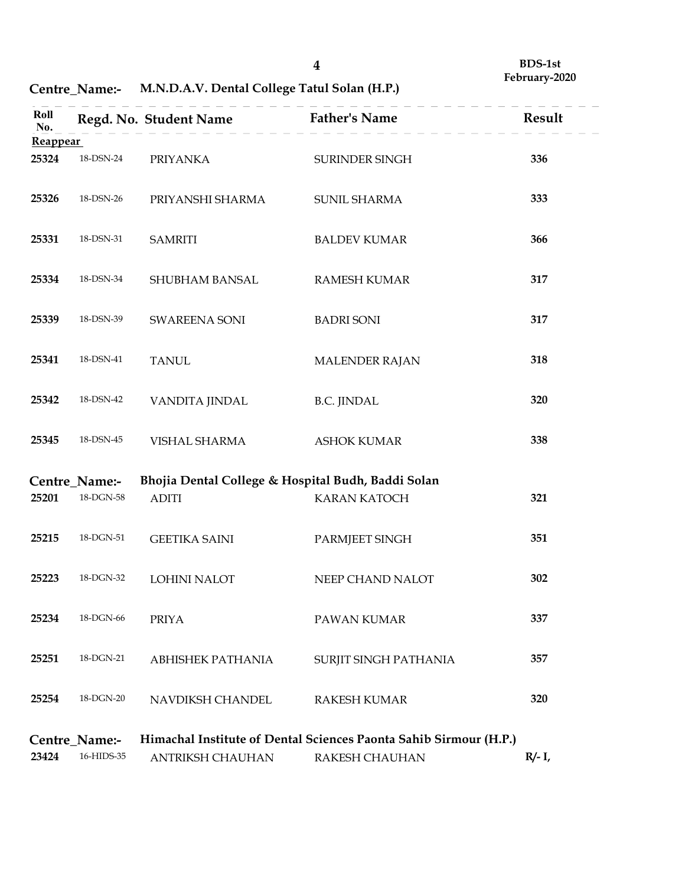Centre\_Name:- M.N.D.A.V. Dental College Tatul Solan (H.P.)

|                          |                                                       |                                              | $\boldsymbol{4}$                                                                    | <b>BDS-1st</b><br>February-2020 |
|--------------------------|-------------------------------------------------------|----------------------------------------------|-------------------------------------------------------------------------------------|---------------------------------|
|                          | Centre_Name:-                                         | M.N.D.A.V. Dental College Tatul Solan (H.P.) |                                                                                     |                                 |
| Roll<br>No.              |                                                       | Regd. No. Student Name                       | <b>Father's Name</b>                                                                | Result                          |
| <b>Reappear</b><br>25324 | 18-DSN-24                                             | <b>PRIYANKA</b>                              | SURINDER SINGH                                                                      | 336                             |
| 25326                    | 18-DSN-26                                             | PRIYANSHI SHARMA                             | SUNIL SHARMA                                                                        | 333                             |
| 25331                    | 18-DSN-31                                             | <b>SAMRITI</b>                               | <b>BALDEV KUMAR</b>                                                                 | 366                             |
| 25334                    | 18-DSN-34                                             | SHUBHAM BANSAL                               | <b>RAMESH KUMAR</b>                                                                 | 317                             |
| 25339                    | 18-DSN-39                                             | <b>SWAREENA SONI</b>                         | <b>BADRI SONI</b>                                                                   | 317                             |
| 25341                    | 18-DSN-41                                             | <b>TANUL</b>                                 | MALENDER RAJAN                                                                      | 318                             |
| 25342                    | 18-DSN-42                                             | VANDITA JINDAL                               | <b>B.C. JINDAL</b>                                                                  | 320                             |
| 25345                    | 18-DSN-45                                             | VISHAL SHARMA                                | <b>ASHOK KUMAR</b>                                                                  | 338                             |
| 25201                    | Centre_Name:-<br>$18\mbox{-} \mathrm{DGN}\mbox{-} 58$ | ADITI                                        | Bhojia Dental College & Hospital Budh, Baddi Solan<br><b>KARAN KATOCH</b>           | 321                             |
| 25215                    | $18\mbox{-}\mathrm{DGN}\mbox{-}51$                    | <b>GEETIKA SAINI</b>                         | PARMJEET SINGH                                                                      | 351                             |
| 25223                    | $18\mbox{-} \mathrm{DGN}\mbox{-} 32$                  | LOHINI NALOT                                 | NEEP CHAND NALOT                                                                    | 302                             |
| 25234                    | $18\mbox{-} \mathrm{DGN}\mbox{-} 66$                  | <b>PRIYA</b>                                 | PAWAN KUMAR                                                                         | 337                             |
| 25251                    | $18$ -DGN-21 $\,$                                     | ABHISHEK PATHANIA                            | SURJIT SINGH PATHANIA                                                               | 357                             |
| 25254                    | $18$ -DGN-20 $\,$                                     | NAVDIKSH CHANDEL                             | RAKESH KUMAR                                                                        | 320                             |
| 23424                    | Centre_Name:-<br>16-HIDS-35                           | ANTRIKSH CHAUHAN                             | Himachal Institute of Dental Sciences Paonta Sahib Sirmour (H.P.)<br>RAKESH CHAUHAN | $R/- I$ ,                       |